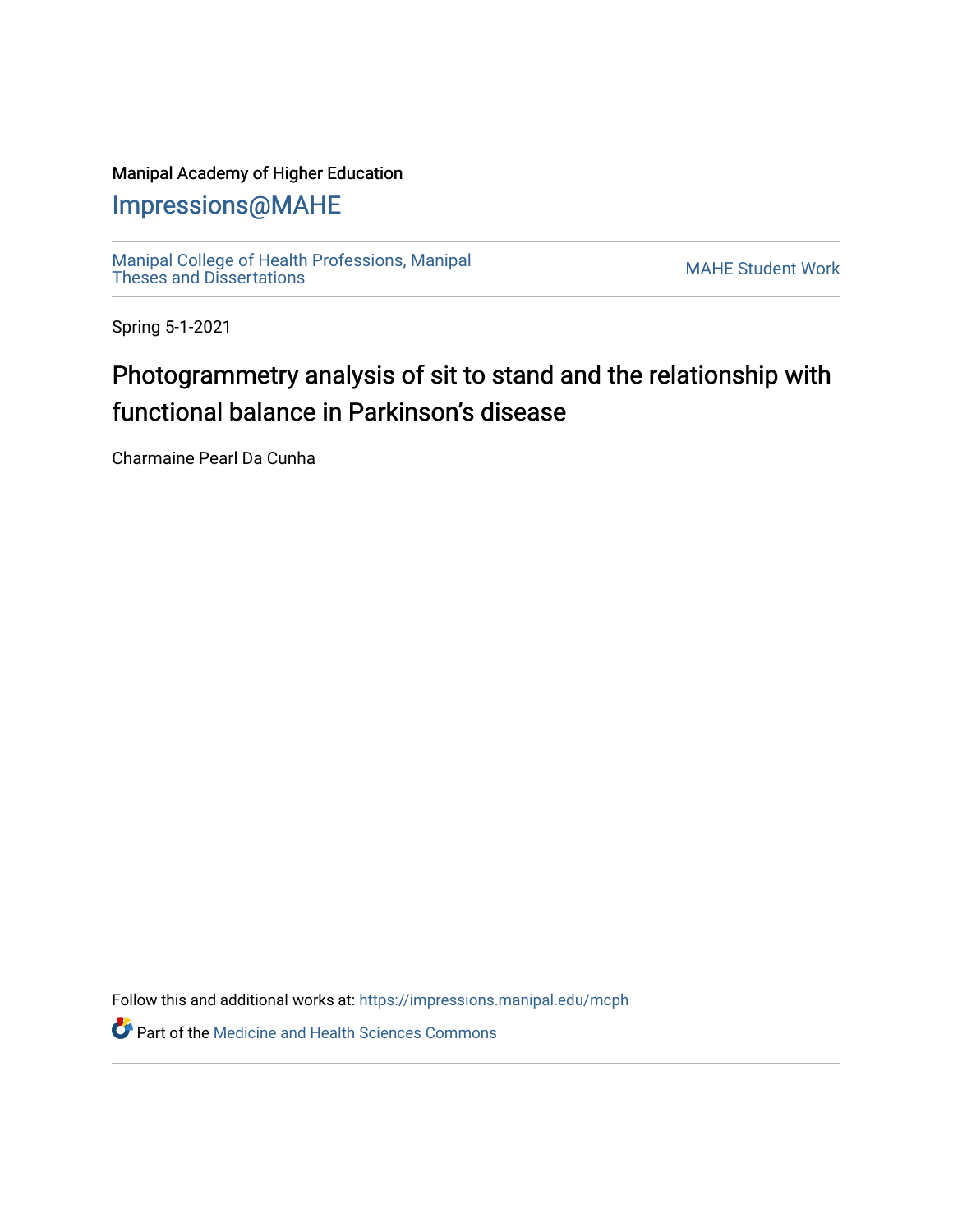### Manipal Academy of Higher Education

## [Impressions@MAHE](https://impressions.manipal.edu/)

[Manipal College of Health Professions, Manipal](https://impressions.manipal.edu/mcph) [Theses and Dissertations](https://impressions.manipal.edu/mcph) Mateur Channel Manners and Dissertations MAHE Student Work

Spring 5-1-2021

## Photogrammetry analysis of sit to stand and the relationship with functional balance in Parkinson's disease

Charmaine Pearl Da Cunha

Follow this and additional works at: [https://impressions.manipal.edu/mcph](https://impressions.manipal.edu/mcph?utm_source=impressions.manipal.edu%2Fmcph%2F32&utm_medium=PDF&utm_campaign=PDFCoverPages)

**Part of the Medicine and Health Sciences Commons**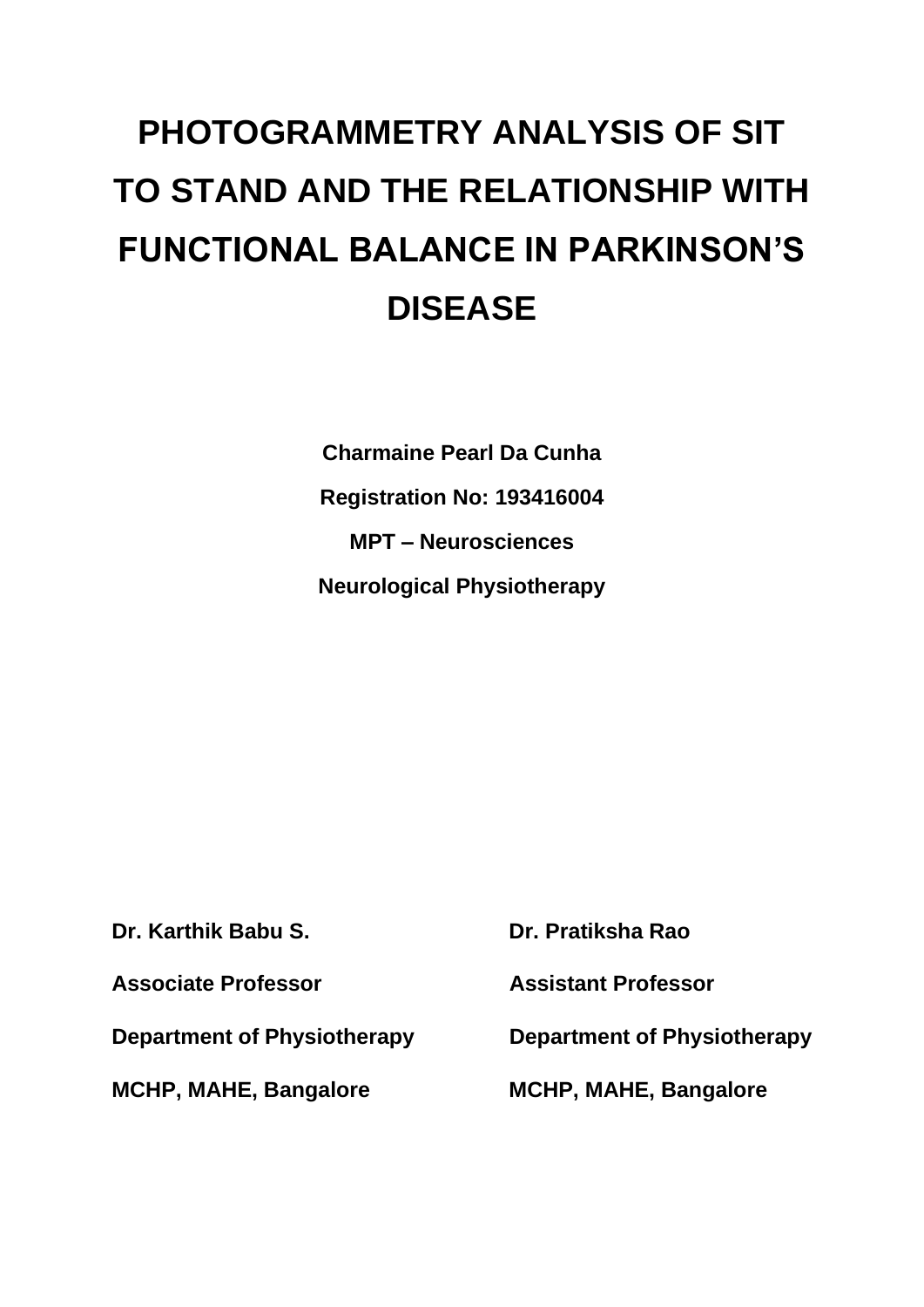# **PHOTOGRAMMETRY ANALYSIS OF SIT TO STAND AND THE RELATIONSHIP WITH FUNCTIONAL BALANCE IN PARKINSON'S DISEASE**

**Charmaine Pearl Da Cunha Registration No: 193416004 MPT – Neurosciences Neurological Physiotherapy**

**Dr. Karthik Babu S. Dr. Pratiksha Rao Associate Professor Assistant Professor MCHP, MAHE, Bangalore MCHP, MAHE, Bangalore**

**Department of Physiotherapy Department of Physiotherapy**